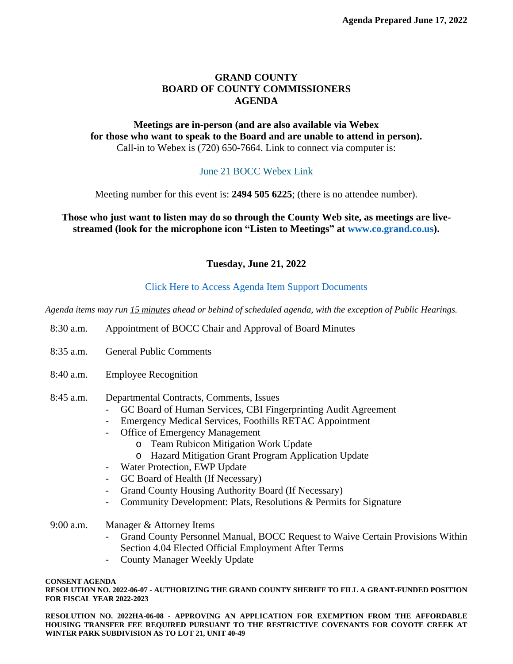## **GRAND COUNTY BOARD OF COUNTY COMMISSIONERS AGENDA**

## **Meetings are in-person (and are also available via Webex for those who want to speak to the Board and are unable to attend in person).** Call-in to Webex is (720) 650-7664. Link to connect via computer is:

## [June 21 BOCC Webex Link](https://grandcounty.webex.com/grandcounty/j.php?MTID=m1ae5e64e602ac15ac9968b588da7a16f)

[Meeting number for this event is:](https://grandcounty.webex.com/grandcounty/j.php?MTID=m1ae5e64e602ac15ac9968b588da7a16f) **[2494 505 6225](https://grandcounty.webex.com/grandcounty/j.php?MTID=m1ae5e64e602ac15ac9968b588da7a16f)**[; \(there is no attendee number\).](https://grandcounty.webex.com/grandcounty/j.php?MTID=m1ae5e64e602ac15ac9968b588da7a16f)

**[Those who just want to listen may do so through the County Web site, as meetings are live](https://grandcounty.webex.com/grandcounty/j.php?MTID=m1ae5e64e602ac15ac9968b588da7a16f)[streamed \(look for the microphone icon](https://grandcounty.webex.com/grandcounty/j.php?MTID=m1ae5e64e602ac15ac9968b588da7a16f) "Listen to Meetings" [at](https://grandcounty.webex.com/grandcounty/j.php?MTID=m1ae5e64e602ac15ac9968b588da7a16f) [www.co.grand.co.us\)](http://www.co.grand.co.us).**

**Tuesday, June 21, 2022**

## [Click Here to Access Agenda Item Support Documents](https://grandco.box.com/v/boccsupporteddocuments)

*[Agenda items may run 15 minutes ahead or behind of scheduled agenda, with the exception of Public Hearings.](https://grandco.box.com/v/boccsupporteddocuments)*

- [8:30 a.m.](https://grandco.box.com/v/boccsupporteddocuments) [Appointment of BOCC Chair and Approval of Board Minutes](https://grandco.box.com/v/boccsupporteddocuments)
- [8:35 a.m.](https://grandco.box.com/v/boccsupporteddocuments) [General Public Comments](https://grandco.box.com/v/boccsupporteddocuments)
- [8:40 a.m.](https://grandco.box.com/v/boccsupporteddocuments) [Employee Recognition](https://grandco.box.com/v/boccsupporteddocuments)
- [8:45](https://grandco.box.com/v/boccsupporteddocuments) [a.m.](https://grandco.box.com/v/boccsupporteddocuments) [Departmental Contracts, Comments, Issues](https://grandco.box.com/v/boccsupporteddocuments)
	- [GC Board of Human Services, CBI Fingerprinting Audit Agreement](https://grandco.box.com/v/boccsupporteddocuments)
	- [Emergency Medical Services, Foothills RETAC Appointment](https://grandco.box.com/v/boccsupporteddocuments)
	- [Office of Emergency Management](https://grandco.box.com/v/boccsupporteddocuments)
		- o [Team Rubicon Mitigation Work Update](https://grandco.box.com/v/boccsupporteddocuments)
		- o [Hazard Mitigation Grant Program Application Update](https://grandco.box.com/v/boccsupporteddocuments)
	- [Water Protection, EWP Update](https://grandco.box.com/v/boccsupporteddocuments)
	- [GC Board of Health \(If Necessary\)](https://grandco.box.com/v/boccsupporteddocuments)
	- [Grand County Housing Authority Board \(If Necessary\)](https://grandco.box.com/v/boccsupporteddocuments)
	- [Community Development: Plats, Resolutions & Permits for Signature](https://grandco.box.com/v/boccsupporteddocuments)
- [9:00 a.m.](https://grandco.box.com/v/boccsupporteddocuments) [Manager & Attorney Items](https://grandco.box.com/v/boccsupporteddocuments)
	- Grand County Personnel Manual, BOCC Request to Waive Certain [Provisions](https://grandco.box.com/v/boccsupporteddocuments) Within [Section 4.04 Elected Official Employment After Terms](https://grandco.box.com/v/boccsupporteddocuments)
	- [County Manager Weekly Update](https://grandco.box.com/v/boccsupporteddocuments)

**[CONSENT AGENDA](https://grandco.box.com/v/boccsupporteddocuments)**

**[RESOLUTION](https://grandco.box.com/v/boccsupporteddocuments) NO. 2022-06-07 [-](https://grandco.box.com/v/boccsupporteddocuments) [AUTHORIZING](https://grandco.box.com/v/boccsupporteddocuments) THE GRAND COUNTY SHERIFF TO FILL A GRAN[T-](https://grandco.box.com/v/boccsupporteddocuments)FUNDED [POSITION](https://grandco.box.com/v/boccsupporteddocuments) [FOR FISCAL YEAR 2022-2023](https://grandco.box.com/v/boccsupporteddocuments)** 

**[RESOLUTION](https://grandco.box.com/v/boccsupporteddocuments) NO. 2022HA-06-08 [-](https://grandco.box.com/v/boccsupporteddocuments) APPROVING AN [APPLICATION](https://grandco.box.com/v/boccsupporteddocuments) FOR EXEMPTION FROM THE AFFORDABLE HOUSING TRANSFER FEE REQUIRED PURSUANT TO THE [RESTRICTIVE](https://grandco.box.com/v/boccsupporteddocuments) COVENANTS FOR COYOTE CREEK AT [WINTER PARK SUBDIVISION AS TO LOT 21, UNIT 40-49](https://grandco.box.com/v/boccsupporteddocuments)**